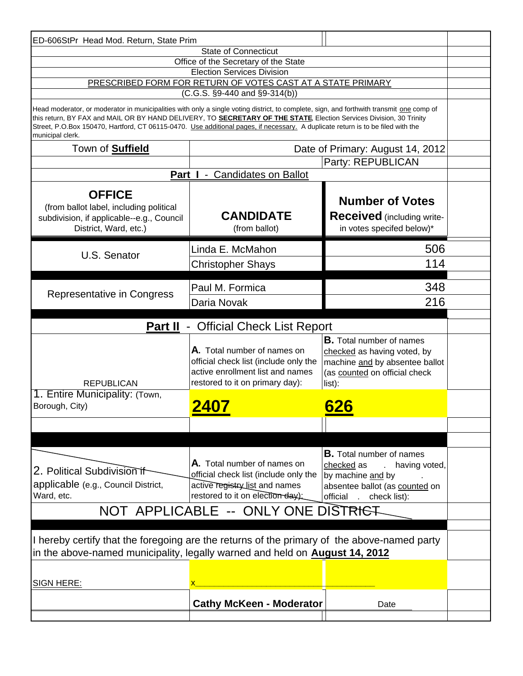| ED-606StPr Head Mod. Return, State Prim                                                                                                                                                                                                                                                                                                                                                                                |                                                                                                                                             |                                                                                                                                                                                           |  |  |  |  |  |  |  |
|------------------------------------------------------------------------------------------------------------------------------------------------------------------------------------------------------------------------------------------------------------------------------------------------------------------------------------------------------------------------------------------------------------------------|---------------------------------------------------------------------------------------------------------------------------------------------|-------------------------------------------------------------------------------------------------------------------------------------------------------------------------------------------|--|--|--|--|--|--|--|
| <b>State of Connecticut</b>                                                                                                                                                                                                                                                                                                                                                                                            |                                                                                                                                             |                                                                                                                                                                                           |  |  |  |  |  |  |  |
| Office of the Secretary of the State                                                                                                                                                                                                                                                                                                                                                                                   |                                                                                                                                             |                                                                                                                                                                                           |  |  |  |  |  |  |  |
| <b>Election Services Division</b><br>PRESCRIBED FORM FOR RETURN OF VOTES CAST AT A STATE PRIMARY                                                                                                                                                                                                                                                                                                                       |                                                                                                                                             |                                                                                                                                                                                           |  |  |  |  |  |  |  |
| $(C.G.S. §9-440 and §9-314(b))$                                                                                                                                                                                                                                                                                                                                                                                        |                                                                                                                                             |                                                                                                                                                                                           |  |  |  |  |  |  |  |
|                                                                                                                                                                                                                                                                                                                                                                                                                        |                                                                                                                                             |                                                                                                                                                                                           |  |  |  |  |  |  |  |
| Head moderator, or moderator in municipalities with only a single voting district, to complete, sign, and forthwith transmit one comp of<br>this return, BY FAX and MAIL OR BY HAND DELIVERY, TO SECRETARY OF THE STATE, Election Services Division, 30 Trinity<br>Street, P.O.Box 150470, Hartford, CT 06115-0470. Use additional pages, if necessary. A duplicate return is to be filed with the<br>municipal clerk. |                                                                                                                                             |                                                                                                                                                                                           |  |  |  |  |  |  |  |
| Town of <b>Suffield</b>                                                                                                                                                                                                                                                                                                                                                                                                | Date of Primary: August 14, 2012                                                                                                            |                                                                                                                                                                                           |  |  |  |  |  |  |  |
|                                                                                                                                                                                                                                                                                                                                                                                                                        |                                                                                                                                             | Party: REPUBLICAN                                                                                                                                                                         |  |  |  |  |  |  |  |
| <b>Candidates on Ballot</b><br>Part I -                                                                                                                                                                                                                                                                                                                                                                                |                                                                                                                                             |                                                                                                                                                                                           |  |  |  |  |  |  |  |
| <b>OFFICE</b>                                                                                                                                                                                                                                                                                                                                                                                                          |                                                                                                                                             |                                                                                                                                                                                           |  |  |  |  |  |  |  |
|                                                                                                                                                                                                                                                                                                                                                                                                                        |                                                                                                                                             | <b>Number of Votes</b>                                                                                                                                                                    |  |  |  |  |  |  |  |
| (from ballot label, including political<br>subdivision, if applicable--e.g., Council                                                                                                                                                                                                                                                                                                                                   | <b>CANDIDATE</b>                                                                                                                            | <b>Received</b> (including write-                                                                                                                                                         |  |  |  |  |  |  |  |
| District, Ward, etc.)                                                                                                                                                                                                                                                                                                                                                                                                  | (from ballot)                                                                                                                               | in votes specifed below)*                                                                                                                                                                 |  |  |  |  |  |  |  |
| U.S. Senator                                                                                                                                                                                                                                                                                                                                                                                                           | Linda E. McMahon                                                                                                                            | 506                                                                                                                                                                                       |  |  |  |  |  |  |  |
|                                                                                                                                                                                                                                                                                                                                                                                                                        | <b>Christopher Shays</b>                                                                                                                    | 114                                                                                                                                                                                       |  |  |  |  |  |  |  |
|                                                                                                                                                                                                                                                                                                                                                                                                                        | Paul M. Formica                                                                                                                             | 348                                                                                                                                                                                       |  |  |  |  |  |  |  |
| Representative in Congress                                                                                                                                                                                                                                                                                                                                                                                             | Daria Novak                                                                                                                                 | 216                                                                                                                                                                                       |  |  |  |  |  |  |  |
| <b>Part II</b> - Official Check List Report                                                                                                                                                                                                                                                                                                                                                                            |                                                                                                                                             |                                                                                                                                                                                           |  |  |  |  |  |  |  |
|                                                                                                                                                                                                                                                                                                                                                                                                                        |                                                                                                                                             |                                                                                                                                                                                           |  |  |  |  |  |  |  |
| <b>REPUBLICAN</b>                                                                                                                                                                                                                                                                                                                                                                                                      | A. Total number of names on<br>official check list (include only the<br>active enrollment list and names<br>restored to it on primary day): | <b>B.</b> Total number of names<br>checked as having voted, by<br>machine and by absentee ballot<br>(as counted on official check<br>list):                                               |  |  |  |  |  |  |  |
| 1. Entire Municipality: (Town,<br>Borough, City)                                                                                                                                                                                                                                                                                                                                                                       | 2407                                                                                                                                        | 626                                                                                                                                                                                       |  |  |  |  |  |  |  |
|                                                                                                                                                                                                                                                                                                                                                                                                                        |                                                                                                                                             |                                                                                                                                                                                           |  |  |  |  |  |  |  |
|                                                                                                                                                                                                                                                                                                                                                                                                                        |                                                                                                                                             |                                                                                                                                                                                           |  |  |  |  |  |  |  |
| 2. Political Subdivision if<br>applicable (e.g., Council District,<br>Ward, etc.                                                                                                                                                                                                                                                                                                                                       | A. Total number of names on<br>official check list (include only the<br>active registry list and names<br>restored to it on election day):  | <b>B.</b> Total number of names<br>checked as<br>having voted,<br>$\mathcal{L}^{\text{max}}$<br>by machine and by<br>absentee ballot (as counted on<br>official<br>check list):<br>$\sim$ |  |  |  |  |  |  |  |
| NOT APPLICABLE -- ONLY ONE DISTRIGT                                                                                                                                                                                                                                                                                                                                                                                    |                                                                                                                                             |                                                                                                                                                                                           |  |  |  |  |  |  |  |
|                                                                                                                                                                                                                                                                                                                                                                                                                        |                                                                                                                                             |                                                                                                                                                                                           |  |  |  |  |  |  |  |
|                                                                                                                                                                                                                                                                                                                                                                                                                        |                                                                                                                                             |                                                                                                                                                                                           |  |  |  |  |  |  |  |
| I hereby certify that the foregoing are the returns of the primary of the above-named party<br>in the above-named municipality, legally warned and held on <b>August 14, 2012</b>                                                                                                                                                                                                                                      |                                                                                                                                             |                                                                                                                                                                                           |  |  |  |  |  |  |  |
| <b>SIGN HERE:</b>                                                                                                                                                                                                                                                                                                                                                                                                      |                                                                                                                                             |                                                                                                                                                                                           |  |  |  |  |  |  |  |
| <b>Cathy McKeen - Moderator</b><br>Date                                                                                                                                                                                                                                                                                                                                                                                |                                                                                                                                             |                                                                                                                                                                                           |  |  |  |  |  |  |  |
|                                                                                                                                                                                                                                                                                                                                                                                                                        |                                                                                                                                             |                                                                                                                                                                                           |  |  |  |  |  |  |  |